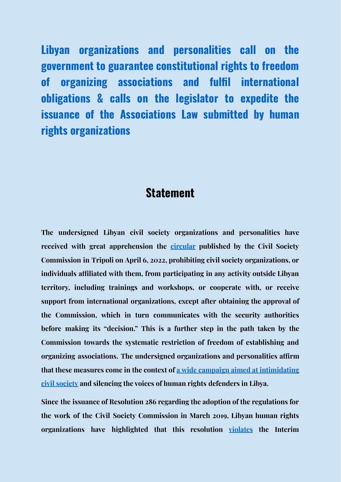**Libyan organizations and personalities call on the government to guarantee constitutional rights to freedom of organizing associations and fulfil international obligations & calls on the legislator to expedite the issuance of the Associations Law submitted by human rights organizations**

## **Statement**

**The undersigned Libyan civil society organizations and personalities have received with great apprehension the [circular](https://www.facebook.com/609044292912271/posts/1341291116354248/) published by the Civil Society Commission in Tripoli on April 6, 2022, prohibiting civil society organizations, or individuals affiliated with them, from participating in any activity outside Libyan territory, including trainings and workshops, or cooperate with, or receive support from international organizations, except after obtaining the approval of the Commission, which in turn communicates with the security authorities before making its "decision." This is a further step in the path taken by the Commission towards the systematic restriction of freedom of establishing and organizing associations. The undersigned organizations and personalities affirm that these measures come in the context of a wide campaign aimed at [intimidating](https://defendercenter.org/5733) civil [society](https://defendercenter.org/5733) and silencing the voices of human rights defenders in Libya.**

**Since the issuance of Resolution 286 regarding the adoption of the regulations for the work of the Civil Society Commission in March 2019, Libyan human rights organizations have highlighted that this resolution [violates](https://www.defendercenter.org/wp-content/uploads/2020/02/%D8%A7%D9%84%D8%AA%D9%82%D8%B1%D9%8A%D8%B1-%D8%A7%D9%84%D8%B3%D9%86%D9%88%D9%8A-%D9%84%D9%85%D8%B1%D9%83%D8%B2-%D9%85%D8%AF%D8%A7%D9%81%D8%B9-%D9%84%D8%AD%D9%82%D9%88%D9%82-%D8%A7%D9%84%D8%A7%D9%95%D9%86%D8%B3%D8%A7%D9%86-2019.pdf) the Interim**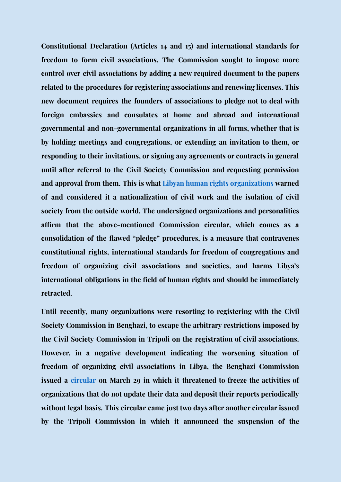**Constitutional Declaration (Articles 14 and 15) and international standards for freedom to form civil associations. The Commission sought to impose more control over civil associations by adding a new required document to the papers related to the procedures for registering associations and renewing licenses. This new document requires the founders of associations to pledge not to deal with foreign embassies and consulates at home and abroad and international governmental and non-governmental organizations in all forms, whether that is by holding meetings and congregations, or extending an invitation to them, or responding to their invitations, or signing any agreements or contracts in general until after referral to the Civil Society Commission and requesting permission and approval from them. This is what Libyan human rights [organizations](https://defendercenter.org/5009) warned of and considered it a nationalization of civil work and the isolation of civil society from the outside world. The undersigned organizations and personalities affirm that the above-mentioned Commission circular, which comes as a consolidation of the flawed "pledge" procedures, is a measure that contravenes constitutional rights, international standards for freedom of congregations and freedom of organizing civil associations and societies, and harms Libya's international obligations in the field of human rights and should be immediately retracted.**

**Until recently, many organizations were resorting to registering with the Civil Society Commission in Benghazi, to escape the arbitrary restrictions imposed by the Civil Society Commission in Tripoli on the registration of civil associations. However, in a negative development indicating the worsening situation of freedom of organizing civil associations in Libya, the Benghazi Commission issued a [circular](https://www.facebook.com/ccslibya/photos/a.257145917821954/1892899627579900/?type=3&theater) on March 29 in which it threatened to freeze the activities of organizations that do not update their data and deposit their reports periodically without legal basis. This circular came just two days after another circular issued by the Tripoli Commission in which it announced the suspension of the**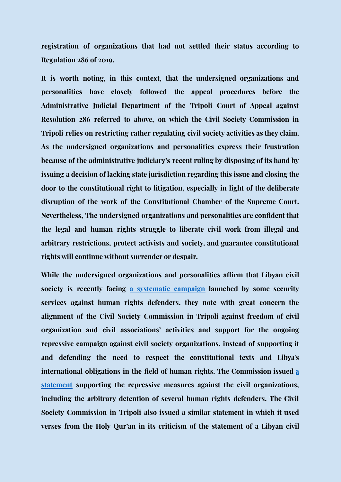**registration of organizations that had not settled their status according to Regulation 286 of 2019.**

**It is worth noting, in this context, that the undersigned organizations and personalities have closely followed the appeal procedures before the Administrative Judicial Department of the Tripoli Court of Appeal against Resolution 286 referred to above, on which the Civil Society Commission in Tripoli relies on restricting rather regulating civil society activities as they claim. As the undersigned organizations and personalities express their frustration because of the administrative judiciary's recent ruling by disposing of its hand by issuing a decision of lacking state jurisdiction regarding this issue and closing the door to the constitutional right to litigation, especially in light of the deliberate disruption of the work of the Constitutional Chamber of the Supreme Court. Nevertheless, The undersigned organizations and personalities are confident that the legal and human rights struggle to liberate civil work from illegal and arbitrary restrictions, protect activists and society, and guarantee constitutional rights will continue without surrender or despair.**

**While the undersigned organizations and personalities affirm that Libyan civil society is recently facing a [systematic](https://defendercenter.org/5733) campaign launched by some security services against human rights defenders, they note with great concern the alignment of the Civil Society Commission in Tripoli against freedom of civil organization and civil associations' activities and support for the ongoing repressive campaign against civil society organizations, instead of supporting it and defending the need to respect the constitutional texts and Libya's international obligations in the field of human rights. The Commission issued [a](https://www.facebook.com/609044292912271/posts/1334046460412047/) [statement](https://www.facebook.com/609044292912271/posts/1334046460412047/) supporting the repressive measures against the civil organizations, including the arbitrary detention of several human rights defenders. The Civil Society Commission in Tripoli also issued a similar statement in which it used verses from the Holy Qur'an in its criticism of the statement of a Libyan civil**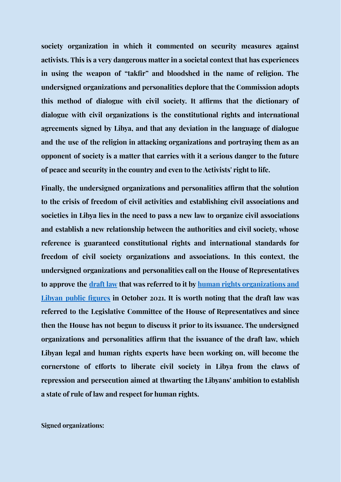**society organization in which it commented on security measures against activists. This is a very dangerous matter in a societal context that has experiences in using the weapon of "takfir" and bloodshed in the name of religion. The undersigned organizations and personalities deplore that the Commission adopts this method of dialogue with civil society. It affirms that the dictionary of dialogue with civil organizations is the constitutional rights and international agreements signed by Libya, and that any deviation in the language of dialogue and the use of the religion in attacking organizations and portraying them as an opponent of society is a matter that carries with it a serious danger to the future of peace and security in the country and even to the Activists' right to life.**

**Finally, the undersigned organizations and personalities affirm that the solution to the crisis of freedom of civil activities and establishing civil associations and societies in Libya lies in the need to pass a new law to organize civil associations and establish a new relationship between the authorities and civil society, whose reference is guaranteed constitutional rights and international standards for freedom of civil society organizations and associations. In this context, the undersigned organizations and personalities call on the House of Representatives to approve the [draft](https://www.defendercenter.org/wp-content/uploads/2021/10/%D9%85%D8%B4%D8%B1%D9%88%D8%B9-%D9%82%D8%A7%D9%86%D9%88%D9%86-%D8%A7%D9%84%D8%AC%D9%85%D8%B9%D9%8A%D8%A7%D8%AA-%D8%A8%D8%B9%D8%AF-%D8%A7%D9%84%D9%85%D8%B1%D8%A7%D8%AC%D8%B9%D8%A9-%D9%81%D9%8A-%D8%A7%D9%94%D8%B9%D8%B3%D8%B7%D8%B3-2021.docx-1.pdf) law that was referred to it by human rights [organizations](https://defendercenter.org/5557) and Libyan public [figures](https://defendercenter.org/5557) in October 2021. It is worth noting that the draft law was referred to the Legislative Committee of the House of Representatives and since then the House has not begun to discuss it prior to its issuance. The undersigned organizations and personalities affirm that the issuance of the draft law, which Libyan legal and human rights experts have been working on, will become the cornerstone of efforts to liberate civil society in Libya from the claws of repression and persecution aimed at thwarting the Libyans' ambition to establish a state of rule of law and respect for human rights.**

**Signed organizations:**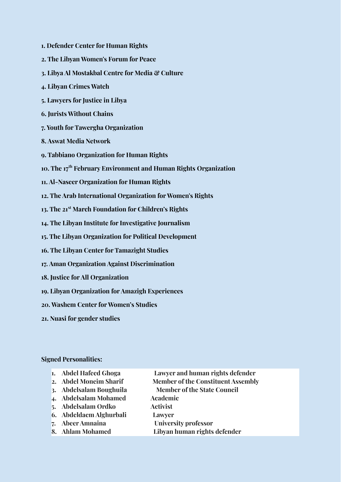- **1. Defender Center for Human Rights**
- **2. The Libyan Women's Forum for Peace**
- **3. Libya Al Mostakbal Centre for Media & Culture**
- **4. Libyan Crimes Watch**
- **5. Lawyers for Justice in Libya**
- **6. Jurists Without Chains**
- **7. Youth for Tawergha Organization**
- **8. Aswat Media Network**
- **9. Tabbiano Organization for Human Rights**
- **10. The 17 th February Environment and Human Rights Organization**
- **11. Al-Naseer Organization for Human Rights**
- **12. The Arab International Organization for Women's Rights**
- **13. The 21 st March Foundation for Children's Rights**
- **14. The Libyan Institute for Investigative Journalism**
- **15. The Libyan Organization for Political Development**
- **16. The Libyan Center for Tamazight Studies**
- **17. Aman Organization Against Discrimination**
- **18. Justice for All Organization**
- **19. Libyan Organization for Amazigh Experiences**
- **20. Washem Center for Women's Studies**
- **21. Nuasi for gender studies**

## **Signed Personalities:**

- **1. Abdel Hafeed Ghoga Lawyer and human rights defender**
- 
- **3. Abdelsalam Boughuila Member of the State Council**
- **4. Abdelsalam Mohamed Academic**
- **5. Abdelsalam Ordko Activist**
- **6. Abdeldaem Alghurbali Lawyer**
- 
- 
- **2. Abdel Moneim Sharif Member of the Constituent Assembly**
	-
	-
	-
- **7. Abeer Amnaina University professor**
- **8. Ahlam Mohamed Libyan human rights defender**
	-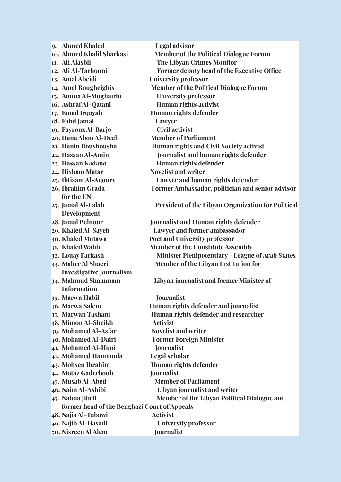**9. Ahmed Khaled Legal advisor 10. Ahmed Khalil Sharkasi Member of the Political Dialogue Forum 11. Ali Alasbli The Libyan Crimes Monitor 12. Ali Al-Tarhouni Former deputy head of the Executive Office 13. Amal Abeidi University professor 14. Amal Bougheighis Member of the Political Dialogue Forum 15. Amina Al-Mughairbi University professor 16. Ashraf Al-Qatani Human rights activist 17. Emad Irqayah Human rights defender 18. Fahd Jamal Lawyer 19. Fayrouz Al-Barjo Civil activist 20. Hana Abou Al-Deeb Member of Parliament 21. Hanin Boushousha Human rights and Civil Society activist 22. Hassan Al-Amin Journalist and human rights defender 23. Hassan Kadano Human rights defender 24. Hisham Matar Novelist and writer 25. Ibtisam Al-Aqoury Lawyer and human rights defender 26. Ibrahim Grada Former Ambassador, politician and senior advisor for the UN 27. Jamal Al-Falah President of the Libyan Organization for Political Development 28. Jamal Belnour Journalist and Human rights defender 29. Khaled Al-Sayeh Lawyer and former ambassador 30. Khaled Mutawa Poet and University professor 31. Khaled Wahli Member of the Constitute Assembly 32. Louay Farkash Minister Plenipotentiary - League of Arab States 33. Maher Al Shaeri Member of the Libyan Institution for Investigative Journalism 34. Mahmud Shammam Libyan journalist and former Minister of Information 35. Marwa Habil Journalist 36. Marwa Salem Human rights defender and journalist 37. Marwan Tashani Human rights defender and researcher 38. Mimon Al-Sheikh Activist 39. Mohamed Al-Asfar Novelist and writer 40. Mohamed Al-Dairi Former Foreign Minister 41. Mohamed Al-Huni Journalist 42. Mohamed Hammuda Legal scholar 43. Mohsen Ibrahim Human rights defender 44. Motaz Gaderbouh Journalist 45. Musab Al-Abed Member of Parliament 46. Naim Al-Ashibi Libyan journalist and writer 47. Naima Jibril Member of the Libyan Political Dialogue and former head of the Benghazi Court of Appeals 48. Najia Al-Tabawi Activist 49. Najib Al-Hasadi University professor 50. Nisreen Al Alem Journalist**